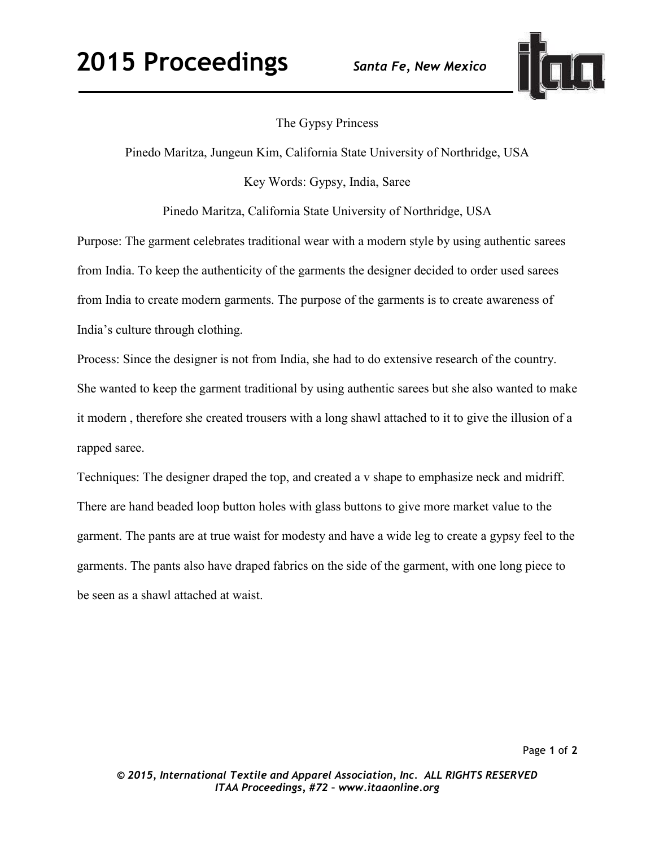

## The Gypsy Princess

Pinedo Maritza, Jungeun Kim, California State University of Northridge, USA

Key Words: Gypsy, India, Saree

Pinedo Maritza, California State University of Northridge, USA

Purpose: The garment celebrates traditional wear with a modern style by using authentic sarees from India. To keep the authenticity of the garments the designer decided to order used sarees from India to create modern garments. The purpose of the garments is to create awareness of India's culture through clothing.

Process: Since the designer is not from India, she had to do extensive research of the country. She wanted to keep the garment traditional by using authentic sarees but she also wanted to make it modern , therefore she created trousers with a long shawl attached to it to give the illusion of a rapped saree.

Techniques: The designer draped the top, and created a v shape to emphasize neck and midriff. There are hand beaded loop button holes with glass buttons to give more market value to the garment. The pants are at true waist for modesty and have a wide leg to create a gypsy feel to the garments. The pants also have draped fabrics on the side of the garment, with one long piece to be seen as a shawl attached at waist.